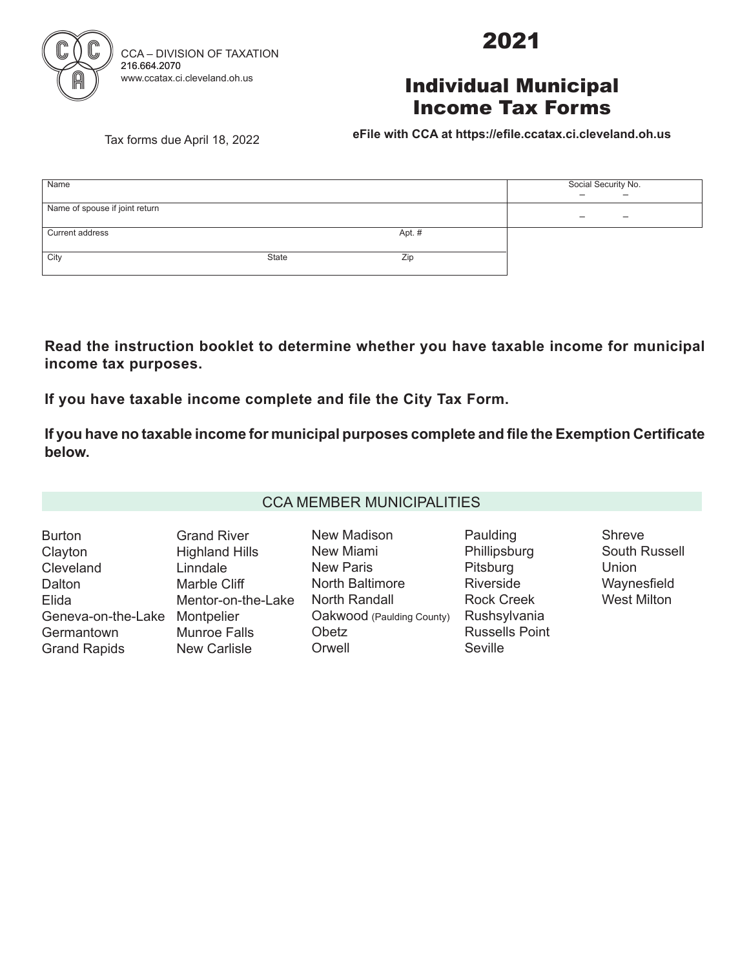

2021

## Individual Municipal Income Tax Forms

Tax forms due April 18, 2022 **BEile with CCA at https://efile.ccatax.ci.cleveland.oh.us** 

| Name                           | Social Security No. |        |  |  |  |
|--------------------------------|---------------------|--------|--|--|--|
|                                |                     |        |  |  |  |
| Name of spouse if joint return |                     |        |  |  |  |
|                                |                     |        |  |  |  |
| Current address                |                     | Apt. # |  |  |  |
|                                |                     |        |  |  |  |
| City                           | <b>State</b>        | Zip    |  |  |  |
|                                |                     |        |  |  |  |

**Read the instruction booklet to determine whether you have taxable income for municipal** income tax purposes.

If you have taxable income complete and file the City Tax Form.

If you have no taxable income for municipal purposes complete and file the Exemption Certificate below.

#### CCA MEMBER MUNICIPALITIES

Burton **Clayton Cleveland Dalton** Elida Geneva-on-the-Lake Montpelier **Germantown** Grand Rapids Grand River Highland Hills Linndale Marble Cliff Mentor-on-the-Lake Munroe Falls New Carlisle

New Madison New Miami New Paris North Baltimore North Randall Oakwood (Paulding County) **Obetz Orwell** 

Paulding **Phillipsburg** Pitsburg Riverside Rock Creek Rushsylvania Russells Point **Seville** 

Shreve South Russell Union Waynesfield West Milton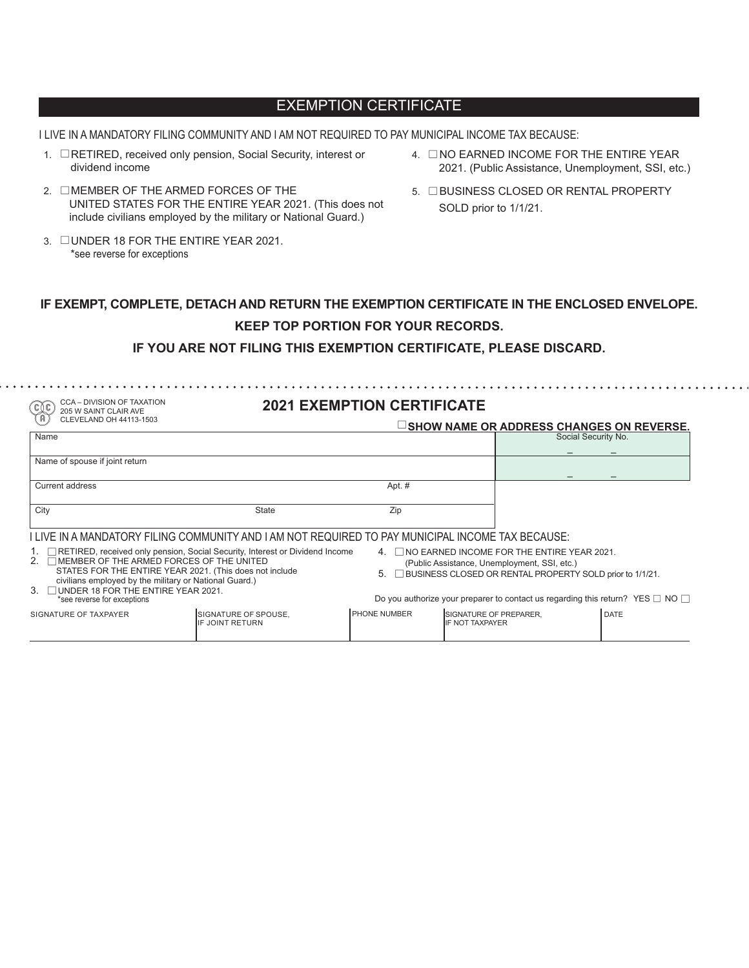### EXEMPTION CERTIFICATE

I LIVE IN A MANDATORY FILING COMMUNITY AND I AM NOT REQUIRED TO PAY MUNICIPAL INCOME TAX BECAUSE:

- 1. **ERETIRED, received only pension, Social Security, interest or** dividend income
- 2. EMEMBER OF THE ARMED FORCES OF THE UNITED STATES FOR THE ENTIRE YEAR 2021. (This does not include civilians employed by the military or National Guard.)
- 3. **EUNDER 18 FOR THE ENTIRE YEAR 2021.** \*see reverse for exceptions
- 4.  $\Box$ NO EARNED INCOME FOR THE ENTIRE YEAR 2021. (Public Assistance, Unemployment, SSI, etc.)
- 5. **EBUSINESS CLOSED OR RENTAL PROPERTY** SOLD prior to 1/1/21.

### **IF EXEMPT, COMPLETE, DETACH AND RETURN THE EXEMPTION CERTIFICATE IN THE ENCLOSED ENVELOPE. KEEP TOP PORTION FOR YOUR RECORDS.**

**IF YOU ARE NOT FILING THIS EXEMPTION CERTIFICATE, PLEASE DISCARD.** 

 $\sim$  CCA – DIVISION OF TAXATION

| <b>CCA - DIVISION OF TAXATION</b><br>ັc≬c<br>205 W SAINT CLAIR AVE                                                                                                                                                                                                                                                |                                                | <b>2021 EXEMPTION CERTIFICATE</b> |                                                                                                                                                                 |                     |                                                                                          |
|-------------------------------------------------------------------------------------------------------------------------------------------------------------------------------------------------------------------------------------------------------------------------------------------------------------------|------------------------------------------------|-----------------------------------|-----------------------------------------------------------------------------------------------------------------------------------------------------------------|---------------------|------------------------------------------------------------------------------------------|
| CLEVELAND OH 44113-1503                                                                                                                                                                                                                                                                                           |                                                |                                   |                                                                                                                                                                 |                     | □ SHOW NAME OR ADDRESS CHANGES ON REVERSE.                                               |
| Name                                                                                                                                                                                                                                                                                                              |                                                |                                   |                                                                                                                                                                 | Social Security No. |                                                                                          |
| Name of spouse if joint return                                                                                                                                                                                                                                                                                    |                                                |                                   |                                                                                                                                                                 |                     |                                                                                          |
| <b>Current address</b>                                                                                                                                                                                                                                                                                            |                                                | Apt. #                            |                                                                                                                                                                 |                     |                                                                                          |
| City                                                                                                                                                                                                                                                                                                              | State                                          | Zip                               |                                                                                                                                                                 |                     |                                                                                          |
| I LIVE IN A MANDATORY FILING COMMUNITY AND I AM NOT REQUIRED TO PAY MUNICIPAL INCOME TAX BECAUSE:                                                                                                                                                                                                                 |                                                |                                   |                                                                                                                                                                 |                     |                                                                                          |
| 1. RETIRED, received only pension, Social Security, Interest or Dividend Income<br>2. TMEMBER OF THE ARMED FORCES OF THE UNITED<br>STATES FOR THE ENTIRE YEAR 2021. (This does not include<br>civilians employed by the military or National Guard.)<br>$\mathbf{3}$<br>$\Box$ UNDER 18 FOR THE ENTIRE YEAR 2021. |                                                | 5.                                | $\Box$ NO EARNED INCOME FOR THE ENTIRE YEAR 2021.<br>(Public Assistance, Unemployment, SSI, etc.)<br>□ BUSINESS CLOSED OR RENTAL PROPERTY SOLD prior to 1/1/21. |                     |                                                                                          |
| *see reverse for exceptions                                                                                                                                                                                                                                                                                       |                                                |                                   |                                                                                                                                                                 |                     | Do you authorize your preparer to contact us regarding this return? YES $\Box$ NO $\Box$ |
| SIGNATURE OF TAXPAYER                                                                                                                                                                                                                                                                                             | SIGNATURE OF SPOUSE.<br><b>IF JOINT RETURN</b> | PHONE NUMBER                      | <b>SIGNATURE OF PREPARER.</b><br><b>IF NOT TAXPAYER</b>                                                                                                         |                     | <b>DATE</b>                                                                              |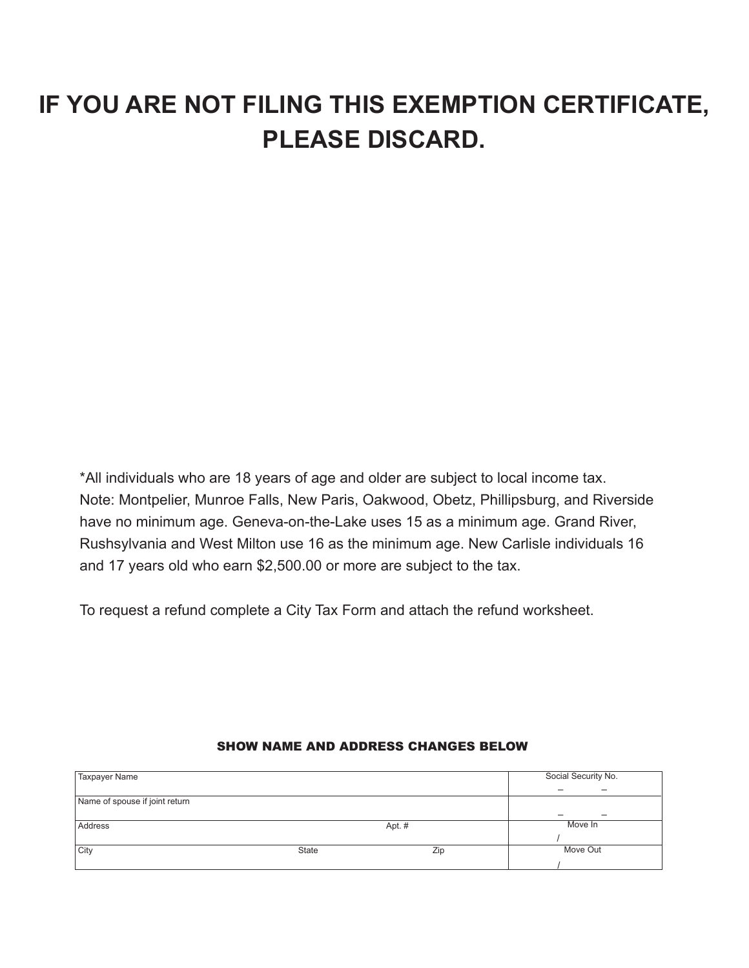# **IF YOU ARE NOT FILING THIS EXEMPTION CERTIFICATE, PLEASE DISCARD.**

\*All individuals who are 18 years of age and older are subject to local income tax. Note: Montpelier, Munroe Falls, New Paris, Oakwood, Obetz, Phillipsburg, and Riverside have no minimum age. Geneva-on-the-Lake uses 15 as a minimum age. Grand River, Rushsylvania and West Milton use 16 as the minimum age. New Carlisle individuals 16 and 17 years old who earn \$2,500.00 or more are subject to the tax.

To request a refund complete a City Tax Form and attach the refund worksheet.

| Taxpayer Name                  |              |        | Social Security No. |
|--------------------------------|--------------|--------|---------------------|
|                                |              |        |                     |
| Name of spouse if joint return |              |        |                     |
|                                |              |        | -                   |
| Address                        |              | Apt. # | Move In             |
|                                |              |        |                     |
| City                           | <b>State</b> | Zip    | Move Out            |
|                                |              |        |                     |

#### SHOW NAME AND ADDRESS CHANGES BELOW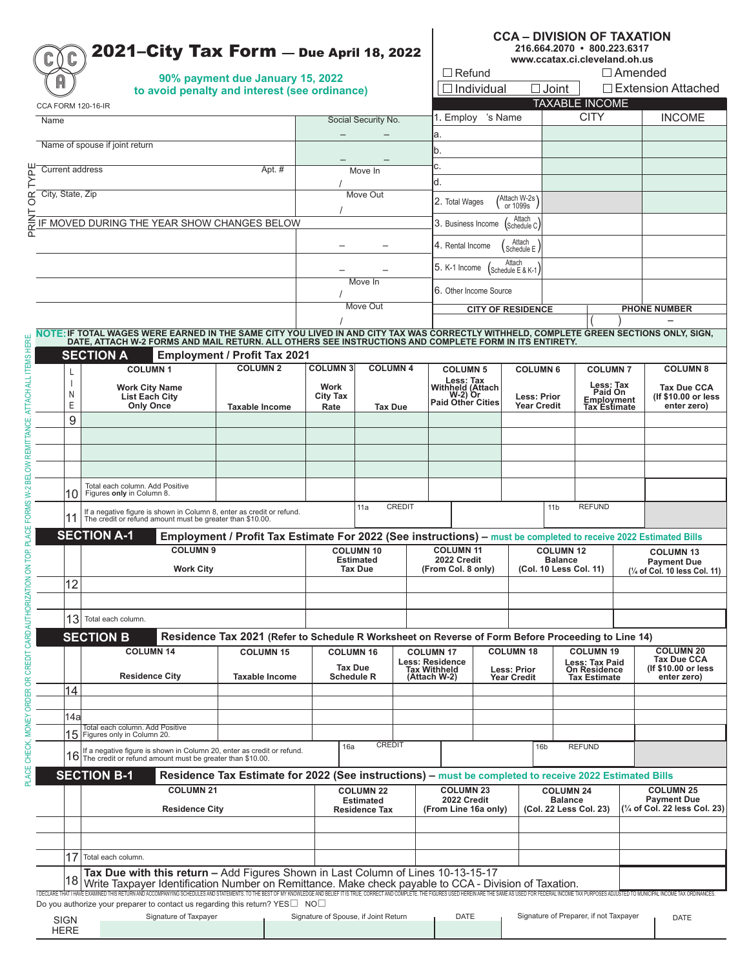|                            | 2021–City Tax Form $-$ Due April 18, 2022                                                                                                                                                                                                                                                                                               | <b>CCA - DIVISION OF TAXATION</b><br>216.664.2070 · 800.223.6317<br>www.ccatax.ci.cleveland.oh.us                |                                          |                                     |                                     |                                                  |                   |                                    |                        |                                                       |                                                     |                                        |
|----------------------------|-----------------------------------------------------------------------------------------------------------------------------------------------------------------------------------------------------------------------------------------------------------------------------------------------------------------------------------------|------------------------------------------------------------------------------------------------------------------|------------------------------------------|-------------------------------------|-------------------------------------|--------------------------------------------------|-------------------|------------------------------------|------------------------|-------------------------------------------------------|-----------------------------------------------------|----------------------------------------|
|                            |                                                                                                                                                                                                                                                                                                                                         | 90% payment due January 15, 2022                                                                                 |                                          |                                     |                                     | $\Box$ Refund                                    |                   |                                    |                        |                                                       | $\Box$ Amended                                      |                                        |
|                            |                                                                                                                                                                                                                                                                                                                                         | to avoid penalty and interest (see ordinance)                                                                    |                                          |                                     |                                     |                                                  | $\Box$ Individual |                                    | $\Box$ Joint           |                                                       |                                                     | $\Box$ Extension Attached              |
| CCA FORM 120-16-IR         |                                                                                                                                                                                                                                                                                                                                         |                                                                                                                  |                                          |                                     |                                     |                                                  |                   |                                    |                        | <b>TAXABLE INCOME</b>                                 |                                                     |                                        |
| Name                       |                                                                                                                                                                                                                                                                                                                                         |                                                                                                                  |                                          | Social Security No.                 |                                     | 1. Employ 's Name                                |                   |                                    |                        | <b>CITY</b>                                           |                                                     | <b>INCOME</b>                          |
|                            | Name of spouse if joint return                                                                                                                                                                                                                                                                                                          |                                                                                                                  |                                          |                                     |                                     | a.                                               |                   |                                    |                        |                                                       |                                                     |                                        |
|                            |                                                                                                                                                                                                                                                                                                                                         |                                                                                                                  |                                          |                                     |                                     | b.<br>c.                                         |                   |                                    |                        |                                                       |                                                     |                                        |
| <b>Current address</b>     |                                                                                                                                                                                                                                                                                                                                         | Apt. $#$                                                                                                         |                                          | Move In                             |                                     | d.                                               |                   |                                    |                        |                                                       |                                                     |                                        |
| <b>n</b> City, State, Zip  |                                                                                                                                                                                                                                                                                                                                         |                                                                                                                  |                                          | Move Out                            |                                     |                                                  |                   | Attach W-2s'                       |                        |                                                       |                                                     |                                        |
|                            |                                                                                                                                                                                                                                                                                                                                         |                                                                                                                  |                                          |                                     |                                     | 2. Total Wages                                   |                   | or 1099s                           |                        |                                                       |                                                     |                                        |
|                            | IF MOVED DURING THE YEAR SHOW CHANGES BELOW                                                                                                                                                                                                                                                                                             |                                                                                                                  |                                          |                                     |                                     | 3. Business Income                               |                   | Attach<br>Schedule C               |                        |                                                       |                                                     |                                        |
|                            |                                                                                                                                                                                                                                                                                                                                         |                                                                                                                  |                                          |                                     |                                     | 4. Rental Income                                 |                   | Attach<br>Schedule E               |                        |                                                       |                                                     |                                        |
|                            |                                                                                                                                                                                                                                                                                                                                         |                                                                                                                  |                                          |                                     |                                     |                                                  |                   | Attach                             |                        |                                                       |                                                     |                                        |
|                            |                                                                                                                                                                                                                                                                                                                                         |                                                                                                                  |                                          | Move In                             |                                     | 5. K-1 Income                                    |                   | (Schedule E & K-1)                 |                        |                                                       |                                                     |                                        |
|                            |                                                                                                                                                                                                                                                                                                                                         |                                                                                                                  |                                          |                                     |                                     | 6. Other Income Source                           |                   |                                    |                        |                                                       |                                                     |                                        |
|                            |                                                                                                                                                                                                                                                                                                                                         |                                                                                                                  |                                          | Move Out                            |                                     |                                                  |                   | <b>CITY OF RESIDENCE</b>           |                        |                                                       |                                                     | <b>PHONE NUMBER</b>                    |
|                            |                                                                                                                                                                                                                                                                                                                                         |                                                                                                                  |                                          |                                     |                                     |                                                  |                   |                                    |                        |                                                       |                                                     |                                        |
|                            | NOTE: IF TOTAL WAGES WERE EARNED IN THE SAME CITY YOU LIVED IN AND CITY TAX WAS CORRECTLY WITHHELD, COMPLETE GREEN SECTIONS ONLY, SIGN,<br>DATE, ATTACH W-2 FORMS AND MAIL RETURN. ALL OTHERS SEE INSTRUCTIONS AND COMPLETE FORM IN ITS ENTIRETY.                                                                                       |                                                                                                                  |                                          |                                     |                                     |                                                  |                   |                                    |                        |                                                       |                                                     |                                        |
|                            | <b>SECTION A</b>                                                                                                                                                                                                                                                                                                                        | <b>Employment / Profit Tax 2021</b>                                                                              |                                          |                                     |                                     |                                                  |                   |                                    |                        |                                                       |                                                     |                                        |
| L                          | <b>COLUMN1</b>                                                                                                                                                                                                                                                                                                                          | <b>COLUMN 2</b>                                                                                                  | <b>COLUMN3</b>                           | <b>COLUMN 4</b>                     |                                     | <b>COLUMN 5</b><br>Less: Tax                     |                   | <b>COLUMN 6</b>                    |                        | <b>COLUMN7</b>                                        |                                                     | <b>COLUMN 8</b>                        |
| N                          | <b>Work City Name</b><br><b>List Each City</b>                                                                                                                                                                                                                                                                                          |                                                                                                                  | Work<br>City Tax                         |                                     |                                     | Withheld (Attach<br>W-2) Or<br>Paid Other Cities |                   | <b>Less: Prior</b>                 |                        | Less: Tax<br>Paid On                                  |                                                     | Tax Due CCA<br>(If \$10.00 or less     |
| Ε                          | <b>Only Once</b>                                                                                                                                                                                                                                                                                                                        | <b>Taxable Income</b>                                                                                            | Rate                                     | <b>Tax Due</b>                      |                                     |                                                  |                   | <b>Year Credit</b>                 |                        | Employment<br>Tax Estimate                            |                                                     | enter zero)                            |
| 9                          |                                                                                                                                                                                                                                                                                                                                         |                                                                                                                  |                                          |                                     |                                     |                                                  |                   |                                    |                        |                                                       |                                                     |                                        |
|                            |                                                                                                                                                                                                                                                                                                                                         |                                                                                                                  |                                          |                                     |                                     |                                                  |                   |                                    |                        |                                                       |                                                     |                                        |
|                            |                                                                                                                                                                                                                                                                                                                                         |                                                                                                                  |                                          |                                     |                                     |                                                  |                   |                                    |                        |                                                       |                                                     |                                        |
|                            |                                                                                                                                                                                                                                                                                                                                         |                                                                                                                  |                                          |                                     |                                     |                                                  |                   |                                    |                        |                                                       |                                                     |                                        |
| 10                         | Total each column. Add Positive<br>Figures only in Column 8.                                                                                                                                                                                                                                                                            |                                                                                                                  |                                          |                                     |                                     |                                                  |                   |                                    |                        |                                                       |                                                     |                                        |
|                            | If a negative figure is shown in Column 8, enter as credit or refund.                                                                                                                                                                                                                                                                   |                                                                                                                  |                                          | 11a                                 | <b>CREDIT</b>                       |                                                  |                   |                                    | 11 <sub>b</sub>        | <b>REFUND</b>                                         |                                                     |                                        |
| 11                         | The credit or refund amount must be greater than \$10.00.                                                                                                                                                                                                                                                                               |                                                                                                                  |                                          |                                     |                                     |                                                  |                   |                                    |                        |                                                       |                                                     |                                        |
|                            | <b>SECTION A-1</b>                                                                                                                                                                                                                                                                                                                      | Employment / Profit Tax Estimate For 2022 (See instructions) - must be completed to receive 2022 Estimated Bills |                                          |                                     |                                     |                                                  |                   |                                    |                        |                                                       |                                                     |                                        |
|                            | <b>COLUMN 9</b>                                                                                                                                                                                                                                                                                                                         |                                                                                                                  | <b>COLUMN 10</b><br><b>Estimated</b>     |                                     |                                     | <b>COLUMN 11</b><br>2022 Credit                  |                   | <b>COLUMN 12</b><br><b>Balance</b> |                        |                                                       | <b>COLUMN 13</b><br><b>Payment Due</b>              |                                        |
|                            | <b>Work City</b>                                                                                                                                                                                                                                                                                                                        |                                                                                                                  | <b>Tax Due</b>                           |                                     |                                     | (From Col. 8 only)<br>(Col. 10 Less Col. 11)     |                   |                                    |                        |                                                       |                                                     | (1/4 of Col. 10 less Col. 11)          |
| 12                         |                                                                                                                                                                                                                                                                                                                                         |                                                                                                                  |                                          |                                     |                                     |                                                  |                   |                                    |                        |                                                       |                                                     |                                        |
|                            |                                                                                                                                                                                                                                                                                                                                         |                                                                                                                  |                                          |                                     |                                     |                                                  |                   |                                    |                        |                                                       |                                                     |                                        |
| 13                         | Total each column.                                                                                                                                                                                                                                                                                                                      |                                                                                                                  |                                          |                                     |                                     |                                                  |                   |                                    |                        |                                                       |                                                     |                                        |
|                            | <b>SECTION B</b>                                                                                                                                                                                                                                                                                                                        | Residence Tax 2021 (Refer to Schedule R Worksheet on Reverse of Form Before Proceeding to Line 14)               |                                          |                                     |                                     |                                                  |                   |                                    |                        |                                                       |                                                     |                                        |
|                            | <b>COLUMN 14</b>                                                                                                                                                                                                                                                                                                                        | <b>COLUMN 15</b>                                                                                                 |                                          | <b>COLUMN 16</b>                    |                                     | <b>COLUMN 17</b>                                 |                   | <b>COLUMN 18</b>                   |                        | <b>COLUMN 19</b>                                      |                                                     | <b>COLUMN 20</b><br><b>Tax Due CCA</b> |
|                            | <b>Residence City</b>                                                                                                                                                                                                                                                                                                                   | <b>Taxable Income</b>                                                                                            |                                          | <b>Tax Due</b><br><b>Schedule R</b> |                                     | Less: Residence<br>Tax Withheld<br>(Attach W-2)  |                   | <b>Less: Prior</b><br>Year Credit  |                        | Less: Tax Paid<br>On Residence<br><b>Tax Estimate</b> |                                                     | (If \$10.00 or less<br>enter zero)     |
| 14                         |                                                                                                                                                                                                                                                                                                                                         |                                                                                                                  |                                          |                                     |                                     |                                                  |                   |                                    |                        |                                                       |                                                     |                                        |
|                            |                                                                                                                                                                                                                                                                                                                                         |                                                                                                                  |                                          |                                     |                                     |                                                  |                   |                                    |                        |                                                       |                                                     |                                        |
| 14al                       | Total each column, Add Positive                                                                                                                                                                                                                                                                                                         |                                                                                                                  |                                          |                                     |                                     |                                                  |                   |                                    |                        |                                                       |                                                     |                                        |
|                            | 15 Figures only in Column 20.                                                                                                                                                                                                                                                                                                           |                                                                                                                  | 16a                                      | <b>CREDIT</b>                       |                                     |                                                  |                   | 16 <sub>b</sub>                    |                        | <b>REFUND</b>                                         |                                                     |                                        |
| 16                         | If a negative figure is shown in Column 20, enter as credit or refund.<br>The credit or refund amount must be greater than \$10.00.                                                                                                                                                                                                     |                                                                                                                  |                                          |                                     |                                     |                                                  |                   |                                    |                        |                                                       |                                                     |                                        |
|                            | <b>SECTION B-1</b>                                                                                                                                                                                                                                                                                                                      | Residence Tax Estimate for 2022 (See instructions) - must be completed to receive 2022 Estimated Bills           |                                          |                                     |                                     |                                                  |                   |                                    |                        |                                                       |                                                     |                                        |
|                            | <b>COLUMN 21</b>                                                                                                                                                                                                                                                                                                                        |                                                                                                                  |                                          | <b>COLUMN 22</b>                    |                                     | <b>COLUMN 23</b>                                 |                   |                                    | <b>COLUMN 24</b>       |                                                       |                                                     | <b>COLUMN 25</b>                       |
|                            | <b>Residence City</b>                                                                                                                                                                                                                                                                                                                   |                                                                                                                  | <b>Estimated</b><br><b>Residence Tax</b> |                                     | 2022 Credit<br>(From Line 16a only) |                                                  |                   | <b>Balance</b>                     | (Col. 22 Less Col. 23) |                                                       | <b>Payment Due</b><br>(1/4 of Col. 22 less Col. 23) |                                        |
|                            |                                                                                                                                                                                                                                                                                                                                         |                                                                                                                  |                                          |                                     |                                     |                                                  |                   |                                    |                        |                                                       |                                                     |                                        |
|                            |                                                                                                                                                                                                                                                                                                                                         |                                                                                                                  |                                          |                                     |                                     |                                                  |                   |                                    |                        |                                                       |                                                     |                                        |
| 17                         | Total each column.                                                                                                                                                                                                                                                                                                                      |                                                                                                                  |                                          |                                     |                                     |                                                  |                   |                                    |                        |                                                       |                                                     |                                        |
| 18                         | Tax Due with this return - Add Figures Shown in Last Column of Lines 10-13-15-17                                                                                                                                                                                                                                                        |                                                                                                                  |                                          |                                     |                                     |                                                  |                   |                                    |                        |                                                       |                                                     |                                        |
|                            | Write Taxpayer Identification Number on Remittance. Make check payable to CCA - Division of Taxation.<br>I DECLARE THAT HAVE EXAMINED THIS RETURN AND ACCOMPANYING SCHEDULES AND STATEMENTS. TO THE BEST OF MY KNOWLEDGE AND BELIEF IT IS TRUE, CORRECT AND COMPLETE. THE FIGURES USED HEREIN ARE THE SAME AS USED FOR FEDERAL INCOME T |                                                                                                                  |                                          |                                     |                                     |                                                  |                   |                                    |                        |                                                       |                                                     |                                        |
|                            | Do you authorize your preparer to contact us regarding this return? $YES \Box NO \Box$                                                                                                                                                                                                                                                  |                                                                                                                  |                                          |                                     |                                     |                                                  |                   |                                    |                        |                                                       |                                                     |                                        |
| <b>SIGN</b><br><b>HERE</b> | Signature of Taxpayer                                                                                                                                                                                                                                                                                                                   |                                                                                                                  | Signature of Spouse, if Joint Return     |                                     |                                     | <b>DATE</b>                                      |                   |                                    |                        | Signature of Preparer, if not Taxpayer                |                                                     | <b>DATE</b>                            |
|                            |                                                                                                                                                                                                                                                                                                                                         |                                                                                                                  |                                          |                                     |                                     |                                                  |                   |                                    |                        |                                                       |                                                     |                                        |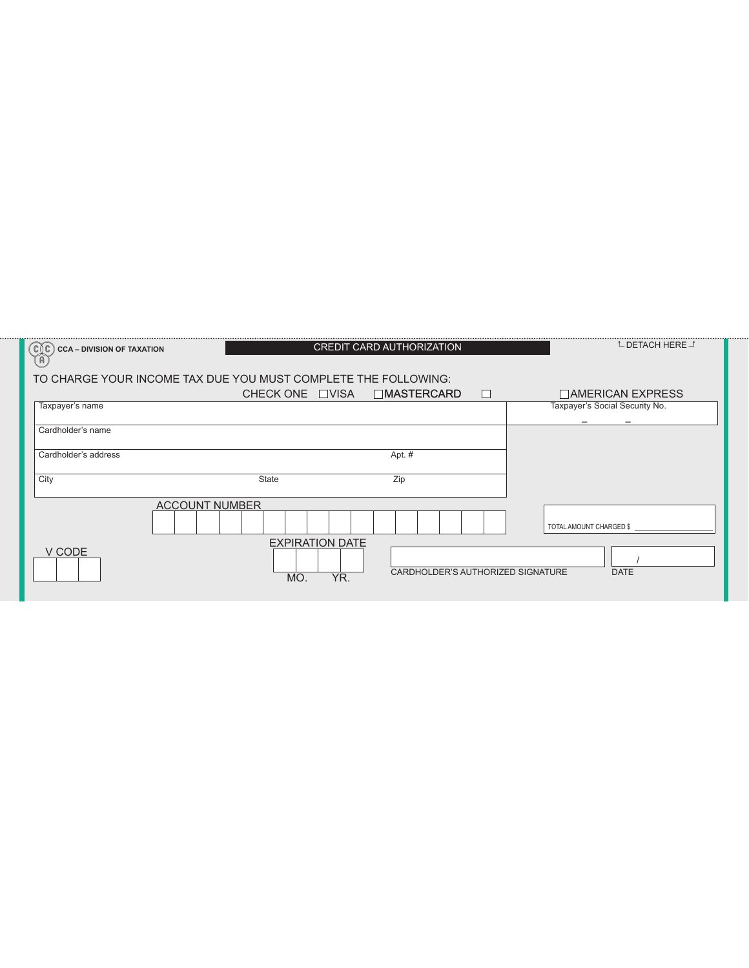| $\mathbb{C} \mathbb{C}$<br><b>CCA - DIVISION OF TAXATION</b><br>(U |                                      | <b>CREDIT CARD AUTHORIZATION</b>        | <b>L DETACH HERE</b> J         |
|--------------------------------------------------------------------|--------------------------------------|-----------------------------------------|--------------------------------|
| TO CHARGE YOUR INCOME TAX DUE YOU MUST COMPLETE THE FOLLOWING:     |                                      |                                         |                                |
|                                                                    | CHECK ONE □VISA                      | □MASTERCARD<br>$\overline{\phantom{a}}$ | $\Box$ AMERICAN EXPRESS        |
| Taxpayer's name                                                    |                                      |                                         | Taxpayer's Social Security No. |
| Cardholder's name                                                  |                                      |                                         |                                |
|                                                                    |                                      |                                         |                                |
| Cardholder's address                                               |                                      | Apt. #                                  |                                |
|                                                                    |                                      |                                         |                                |
| City                                                               | <b>State</b>                         | Zip                                     |                                |
|                                                                    | <b>ACCOUNT NUMBER</b>                |                                         |                                |
|                                                                    |                                      |                                         | TOTAL AMOUNT CHARGED \$        |
| V CODE                                                             | <b>EXPIRATION DATE</b><br>YR.<br>MO. | CARDHOLDER'S AUTHORIZED SIGNATURE       | <b>DATE</b>                    |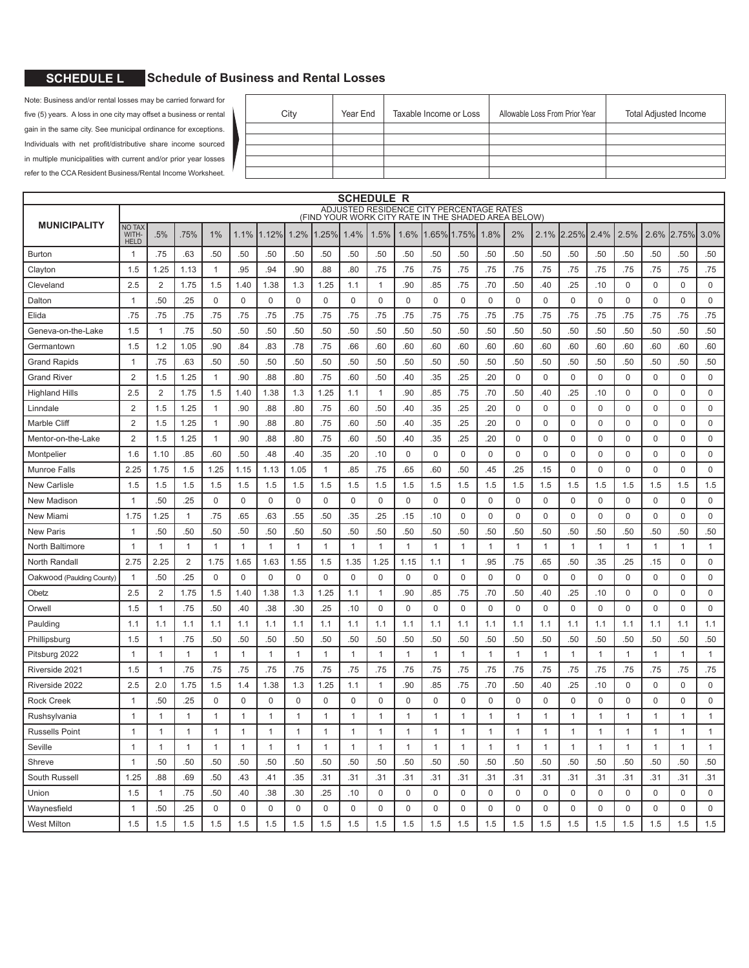### **6** SCHEDULE L Schedule of Business and Rental Losses

Note: Business and/or rental losses may be carried forward for five (5) years. A loss in one city may offset a business or rental gain in the same city. See municipal ordinance for exceptions. Individuals with net profit/distributive share income sourced in multiple municipalities with current and/or prior year losses refer to the CCA Resident Business/Rental Income Worksheet.

| City | Year End | Taxable Income or Loss | Allowable Loss From Prior Year | <b>Total Adjusted Income</b> |
|------|----------|------------------------|--------------------------------|------------------------------|
|      |          |                        |                                |                              |
|      |          |                        |                                |                              |
|      |          |                        |                                |                              |
|      |          |                        |                                |                              |
|      |          |                        |                                |                              |

|                                                                                                 |                                       |                |                |              |              |              |              |              |              | SCHEDULE R   |              |              |              |              |              |                |              |              |                  |              |              |              |
|-------------------------------------------------------------------------------------------------|---------------------------------------|----------------|----------------|--------------|--------------|--------------|--------------|--------------|--------------|--------------|--------------|--------------|--------------|--------------|--------------|----------------|--------------|--------------|------------------|--------------|--------------|--------------|
| ADJUSTED RESIDENCE CITY PERCENTAGE RATES<br>(FIND YOUR WORK CITY RATE IN THE SHADED AREA BELOW) |                                       |                |                |              |              |              |              |              |              |              |              |              |              |              |              |                |              |              |                  |              |              |              |
| <b>MUNICIPALITY</b>                                                                             | <b>NO TAX</b><br>WITH-<br><b>HELD</b> | .5%            | .75%           | 1%           | 1.1%         | 1.12%        | 1.2%         | .25%         | 1.4%         | 1.5%         | 1.6%         | 1.65%        | 1.75%        | 1.8%         | 2%           | 2.1%           | 2.25%        | 2.4%         | 2.5%             | 2.6%         | 2.75%        | 3.0%         |
| Burton                                                                                          | $\overline{1}$                        | .75            | .63            | .50          | .50          | .50          | .50          | .50          | .50          | .50          | .50          | .50          | .50          | .50          | .50          | .50            | .50          | .50          | .50              | .50          | .50          | .50          |
| Clayton                                                                                         | 1.5                                   | 1.25           | 1.13           | $\mathbf{1}$ | .95          | .94          | .90          | .88          | .80          | .75          | .75          | .75          | .75          | .75          | .75          | .75            | .75          | .75          | .75              | .75          | .75          | .75          |
| Cleveland                                                                                       | 2.5                                   | 2              | 1.75           | 1.5          | 1.40         | 1.38         | 1.3          | 1.25         | 1.1          | $\mathbf{1}$ | .90          | .85          | .75          | .70          | .50          | .40            | .25          | .10          | $\mathbf 0$      | $\mathbf 0$  | $\mathbf 0$  | $\mathbf 0$  |
| Dalton                                                                                          | $\overline{1}$                        | .50            | .25            | $\mathbf 0$  | $\mathbf 0$  | $\mathbf 0$  | $\mathbf 0$  | $\mathbf 0$  | $\mathbf 0$  | $\mathbf 0$  | 0            | $\mathbf 0$  | $\mathbf 0$  | $\mathbf{0}$ | $\mathbf 0$  | $\mathbf 0$    | $\mathbf 0$  | $\mathbf 0$  | $\mathbf 0$      | $\mathbf 0$  | $\mathbf 0$  | $\mathbf 0$  |
| Elida                                                                                           | .75                                   | .75            | .75            | .75          | .75          | .75          | .75          | .75          | .75          | .75          | .75          | .75          | .75          | .75          | .75          | .75            | .75          | .75          | .75              | .75          | .75          | .75          |
| Geneva-on-the-Lake                                                                              | 1.5                                   | $\mathbf{1}$   | .75            | .50          | .50          | .50          | .50          | .50          | .50          | .50          | .50          | .50          | .50          | .50          | .50          | .50            | .50          | .50          | .50              | .50          | .50          | .50          |
| Germantown                                                                                      | 1.5                                   | 1.2            | 1.05           | .90          | .84          | .83          | .78          | .75          | .66          | .60          | .60          | .60          | .60          | .60          | .60          | .60            | .60          | .60          | .60              | .60          | .60          | .60          |
| <b>Grand Rapids</b>                                                                             | $\overline{1}$                        | .75            | .63            | .50          | .50          | .50          | .50          | .50          | .50          | .50          | .50          | .50          | .50          | .50          | .50          | .50            | .50          | .50          | .50              | .50          | .50          | .50          |
| Grand River                                                                                     | $\overline{2}$                        | 1.5            | 1.25           | $\mathbf{1}$ | .90          | .88          | .80          | .75          | .60          | .50          | .40          | .35          | .25          | .20          | $\mathbf 0$  | $\mathbf 0$    | $\mathbf 0$  | $\mathbf 0$  | $\mathbf 0$      | $\mathbf 0$  | 0            | $\mathbf 0$  |
| <b>Highland Hills</b>                                                                           | 2.5                                   | $\overline{2}$ | 1.75           | 1.5          | 1.40         | 1.38         | 1.3          | 1.25         | 1.1          | 1            | .90          | .85          | .75          | .70          | .50          | .40            | .25          | .10          | 0                | 0            | 0            | 0            |
| Linndale                                                                                        | $\overline{2}$                        | 1.5            | 1.25           | $\mathbf{1}$ | .90          | .88          | .80          | .75          | .60          | .50          | .40          | .35          | .25          | .20          | $\mathbf 0$  | $\mathbf 0$    | $\mathbf 0$  | $\mathbf 0$  | $\mathbf 0$      | $\mathbf 0$  | 0            | $\Omega$     |
| Marble Cliff                                                                                    | $\overline{2}$                        | 1.5            | 1.25           | 1            | .90          | .88          | .80          | .75          | .60          | .50          | .40          | .35          | .25          | .20          | $\mathbf 0$  | $\mathbf 0$    | $\mathbf 0$  | $\Omega$     | $\mathbf 0$      | $\Omega$     | $\mathbf 0$  | $\mathbf 0$  |
| Mentor-on-the-Lake                                                                              | $\overline{2}$                        | 1.5            | 1.25           | $\mathbf{1}$ | .90          | .88          | .80          | .75          | .60          | .50          | .40          | .35          | .25          | .20          | 0            | $\mathbf 0$    | 0            | 0            | 0                | 0            | 0            | 0            |
| Montpelier                                                                                      | 1.6                                   | 1.10           | .85            | .60          | .50          | .48          | .40          | .35          | .20          | .10          | 0            | 0            | 0            | 0            | 0            | $\mathbf 0$    | 0            | 0            | 0                | 0            | 0            | 0            |
| <b>Munroe Falls</b>                                                                             | 2.25                                  | 1.75           | 1.5            | 1.25         | 1.15         | 1.13         | 1.05         | $\mathbf{1}$ | .85          | .75          | .65          | .60          | .50          | .45          | .25          | .15            | $\mathbf 0$  | 0            | $\mathbf 0$      | $\mathbf 0$  | $\mathbf 0$  | $\mathbf 0$  |
| <b>New Carlisle</b>                                                                             | 1.5                                   | 1.5            | 1.5            | 1.5          | 1.5          | 1.5          | 1.5          | 1.5          | 1.5          | 1.5          | 1.5          | 1.5          | 1.5          | 1.5          | 1.5          | 1.5            | 1.5          | 1.5          | 1.5              | 1.5          | 1.5          | 1.5          |
| New Madison                                                                                     | $\overline{1}$                        | .50            | .25            | 0            | $\mathbf 0$  | $\mathbf 0$  | $\mathbf 0$  | 0            | $\mathbf 0$  | 0            | 0            | 0            | $\mathbf 0$  | $\mathbf 0$  | $\mathbf 0$  | $\mathbf 0$    | 0            | 0            | $\mathbf 0$      | $\mathbf 0$  | $\mathbf 0$  | $\mathbf 0$  |
| New Miami                                                                                       | 1.75                                  | 1.25           | $\mathbf{1}$   | .75          | .65          | .63          | .55          | .50          | .35          | .25          | .15          | .10          | $\mathbf 0$  | 0            | $\mathbf 0$  | $\mathbf 0$    | $\mathbf 0$  | $\mathbf 0$  | $\mathbf 0$      | $\mathbf 0$  | $\mathbf 0$  | $\mathbf{0}$ |
| <b>New Paris</b>                                                                                | $\overline{1}$                        | .50            | .50            | .50          | .50          | .50          | .50          | .50          | .50          | .50          | .50          | .50          | .50          | .50          | .50          | .50            | .50          | .50          | .50              | .50          | .50          | .50          |
| North Baltimore                                                                                 | $\overline{1}$                        | $\mathbf{1}$   | $\mathbf{1}$   | 1            | $\mathbf{1}$ | $\mathbf{1}$ | $\mathbf{1}$ | $\mathbf{1}$ | $\mathbf{1}$ | $\mathbf{1}$ | 1            | $\mathbf{1}$ | $\mathbf{1}$ | $\mathbf{1}$ | $\mathbf{1}$ | $\mathbf{1}$   | 1            | $\mathbf 1$  | $\mathbf{1}$     | $\mathbf{1}$ | 1            | $\mathbf{1}$ |
| North Randall                                                                                   | 2.75                                  | 2.25           | $\overline{2}$ | 1.75         | 1.65         | 1.63         | 1.55         | 1.5          | 1.35         | 1.25         | 1.15         | 1.1          | $\mathbf{1}$ | .95          | .75          | .65            | .50          | .35          | .25              | .15          | $\mathbf 0$  | $\mathbf 0$  |
| Oakwood (Paulding County)                                                                       | $\mathbf{1}$                          | .50            | .25            | $\mathbf 0$  | $\mathbf 0$  | $\mathbf 0$  | $\Omega$     | $\mathbf 0$  | $\mathbf 0$  | $\mathbf 0$  | $\mathbf 0$  | $\mathbf 0$  | $\mathbf 0$  | $\mathbf 0$  | $\mathbf 0$  | $\mathbf 0$    | $\mathbf 0$  | $\mathbf 0$  | $\mathbf 0$      | $\mathbf 0$  | $\mathbf 0$  | $\mathbf 0$  |
| Obetz                                                                                           | 2.5                                   | $\overline{2}$ | 1.75           | 1.5          | 1.40         | 1.38         | 1.3          | 1.25         | 1.1          | 1            | .90          | .85          | .75          | .70          | .50          | .40            | .25          | .10          | 0                | $\mathbf 0$  | 0            | $\mathbf 0$  |
| Orwell                                                                                          | 1.5                                   | $\mathbf{1}$   | .75            | .50          | .40          | .38          | .30          | .25          | .10          | $\mathbf 0$  | 0            | 0            | $\mathbf 0$  | $\mathbf 0$  | $\mathbf 0$  | $\mathbf 0$    | 0            | $\mathbf 0$  | $\mathbf 0$      | $\mathbf 0$  | $\mathbf 0$  | $\mathbf 0$  |
| Paulding                                                                                        | 1.1                                   | 1.1            | 1.1            | 1.1          | 1.1          | 1.1          | 1.1          | 1.1          | 1.1          | 1.1          | 1.1          | 1.1          | 1.1          | 1.1          | 1.1          | 1.1            | 1.1          | 1.1          | 1.1              | 1.1          | 1.1          | 1.1          |
| Phillipsburg                                                                                    | 1.5                                   | $\mathbf{1}$   | .75            | .50          | .50          | .50          | .50          | .50          | .50          | .50          | .50          | .50          | .50          | .50          | .50          | .50            | .50          | .50          | .50              | .50          | .50          | .50          |
| Pitsburg 2022                                                                                   | $\overline{1}$                        | $\mathbf{1}$   | $\mathbf{1}$   | $\mathbf{1}$ | $\mathbf{1}$ | $\mathbf{1}$ | $\mathbf{1}$ | $\mathbf{1}$ | $\mathbf{1}$ | 1            | $\mathbf{1}$ | $\mathbf{1}$ | $\mathbf{1}$ | $\mathbf{1}$ | $\mathbf{1}$ | $\mathbf{1}$   | $\mathbf{1}$ | 1            | $\overline{1}$   | $\mathbf{1}$ | 1            | $\mathbf{1}$ |
| Riverside 2021                                                                                  | 1.5                                   | $\mathbf 1$    | .75            | .75          | .75          | .75          | .75          | .75          | .75          | .75          | .75          | .75          | .75          | .75          | .75          | .75            | .75          | .75          | .75              | .75          | .75          | .75          |
| Riverside 2022                                                                                  | 2.5                                   | 2.0            | 1.75           | 1.5          | 1.4          | 1.38         | 1.3          | 1.25         | 1.1          | $\mathbf{1}$ | .90          | .85          | .75          | .70          | .50          | .40            | .25          | .10          | $\mathbf 0$      | $\mathbf 0$  | $\mathbf 0$  | $\mathbf 0$  |
| <b>Rock Creek</b>                                                                               | $\overline{1}$                        | .50            | .25            | $\mathbf 0$  | $\mathbf 0$  | $\mathbf 0$  | 0            | $\mathbf 0$  | $\mathbf 0$  | 0            | 0            | $\mathbf 0$  | $\mathbf 0$  | $\mathbf 0$  | 0            | $\mathbf 0$    | $\mathbf 0$  | 0            | 0                | $\mathbf 0$  | $\mathbf 0$  | $\mathbf 0$  |
| Rushsylvania                                                                                    | $\overline{1}$                        | $\mathbf{1}$   | $\mathbf{1}$   | $\mathbf{1}$ | $\mathbf{1}$ | $\mathbf{1}$ | $\mathbf{1}$ | $\mathbf{1}$ | $\mathbf{1}$ | $\mathbf{1}$ | 1            | 1            | $\mathbf{1}$ | 1            | $\mathbf{1}$ | $\overline{1}$ | $\mathbf{1}$ | $\mathbf{1}$ | 1                | $\mathbf{1}$ | $\mathbf{1}$ | $\mathbf{1}$ |
| <b>Russells Point</b>                                                                           | $\mathbf{1}$                          | $\mathbf{1}$   | -1             | 1            | $\mathbf{1}$ | 1            | 1            | $\mathbf{1}$ | $\mathbf{1}$ | 1            | 1            | $\mathbf{1}$ | $\mathbf{1}$ | $\mathbf{1}$ | $\mathbf{1}$ | $\mathbf{1}$   | 1            | 1            | $\mathbf{1}$     | 1            | 1            | $\mathbf{1}$ |
| Seville                                                                                         | $\overline{1}$                        | $\mathbf{1}$   | $\mathbf{1}$   | $\mathbf{1}$ | $\mathbf{1}$ | $\mathbf{1}$ | $\mathbf{1}$ | $\mathbf{1}$ | $\mathbf{1}$ | $\mathbf{1}$ | $\mathbf{1}$ | $\mathbf{1}$ | $\mathbf{1}$ | $\mathbf{1}$ | $\mathbf{1}$ | $\mathbf{1}$   | $\mathbf{1}$ | $\mathbf 1$  | $\overline{1}$   | $\mathbf{1}$ | $\mathbf{1}$ | $\mathbf{1}$ |
| Shreve                                                                                          | $\overline{1}$                        | .50            | .50            | .50          | .50          | .50          | .50          | .50          | .50          | .50          | .50          | .50          | .50          | .50          | .50          | .50            | .50          | .50          | .50              | .50          | .50          | .50          |
| South Russell                                                                                   | 1.25                                  | .88            | .69            | .50          | .43          | .41          | .35          | .31          | .31          | .31          | .31          | .31          | .31          | .31          | .31          | .31            | .31          | .31          | .31              | .31          | .31          | .31          |
| Union                                                                                           | 1.5                                   | $\mathbf{1}$   | .75            | .50          | .40          | .38          | .30          | .25          | .10          | $\mathbf 0$  | 0            | $\pmb{0}$    | $\mathbf 0$  | $\mathbf 0$  | $\mathbf 0$  | $\mathbf 0$    | $\mathbf 0$  | $\mathbf 0$  | $\boldsymbol{0}$ | $\mathbf 0$  | $\mathbf 0$  | $\mathbf 0$  |
| Waynesfield                                                                                     | $\overline{1}$                        | .50            | .25            | $\mathbf 0$  | $\mathbf 0$  | $\mathbf 0$  | $\mathbf 0$  | $\mathbf 0$  | $\mathbf 0$  | $\mathbf 0$  | 0            | $\mathbf 0$  | $\mathbf 0$  | $\mathbf 0$  | 0            | $\mathbf 0$    | $\mathbf 0$  | 0            | $\mathbf 0$      | $\mathbf 0$  | $\mathbf 0$  | $\mathbf 0$  |
| <b>West Milton</b>                                                                              | 1.5                                   | 1.5            | 1.5            | 1.5          | 1.5          | 1.5          | 1.5          | 1.5          | 1.5          | 1.5          | 1.5          | 1.5          | 1.5          | 1.5          | 1.5          | 1.5            | 1.5          | 1.5          | 1.5              | 1.5          | 1.5          | 1.5          |